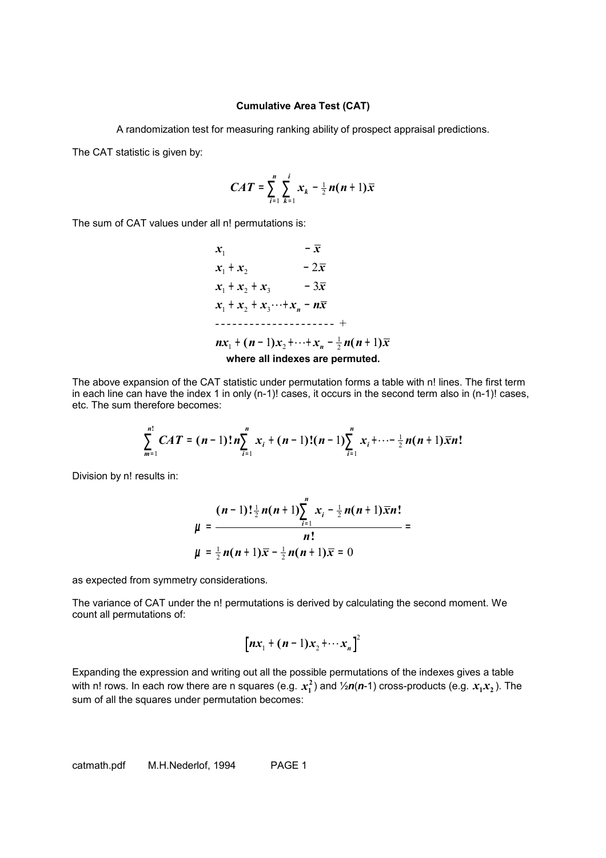## **Cumulative Area Test (CAT)**

A randomization test for measuring ranking ability of prospect appraisal predictions.

The CAT statistic is given by:

$$
CAT = \sum_{i=1}^{n} \sum_{k=1}^{i} x_k - \frac{1}{2} n(n+1) \overline{x}
$$

The sum of CAT values under all n! permutations is:

 $x_1$  –  $\bar{x}$  $x_1 + x_2 - 2\bar{x}$  $x_1 + x_2 + x_3 - 3\bar{x}$  $x_1 + x_2 + x_3 \cdots + x_n - n\overline{x}$  $nx_1$  +  $(n-1)x_2$  +  $\cdots$  +  $x_n$  -  $\frac{1}{2}n(n+1)\bar{x}$ .<br>1 --------------------- + **where all indexes are permuted.**

The above expansion of the CAT statistic under permutation forms a table with n! lines. The first term in each line can have the index 1 in only (n-1)! cases, it occurs in the second term also in (n-1)! cases, etc. The sum therefore becomes:

$$
\sum_{m=1}^{n!} CAT = (n-1)! n \sum_{i=1}^{n} x_i + (n-1)!(n-1) \sum_{i=1}^{n} x_i + \cdots + \frac{1}{2} n(n+1) \overline{x} n!
$$

Division by n! results in:

$$
\mu = \frac{(n-1)!\frac{1}{2}n(n+1)\sum_{i=1}^{n}x_i - \frac{1}{2}n(n+1)\bar{x}n!}{n!} = \mu = \frac{n!}{2n(n+1)\bar{x} - \frac{1}{2}n(n+1)\bar{x} = 0}
$$

as expected from symmetry considerations.

The variance of CAT under the n! permutations is derived by calculating the second moment. We count all permutations of:

$$
\left[nx_1 + (n-1)x_2 + \cdots x_n\right]^2
$$

Expanding the expression and writing out all the possible permutations of the indexes gives a table with <code>n!</code> rows. In each row there are <code>n</code> squares (e.g.  $x_1^2$ ) and  $\frac{1}{2}n(n-1)$  cross-products (e.g.  $x_1x_2$  ). The sum of all the squares under permutation becomes:

catmath.pdf M.H.Nederlof, 1994 PAGE 1